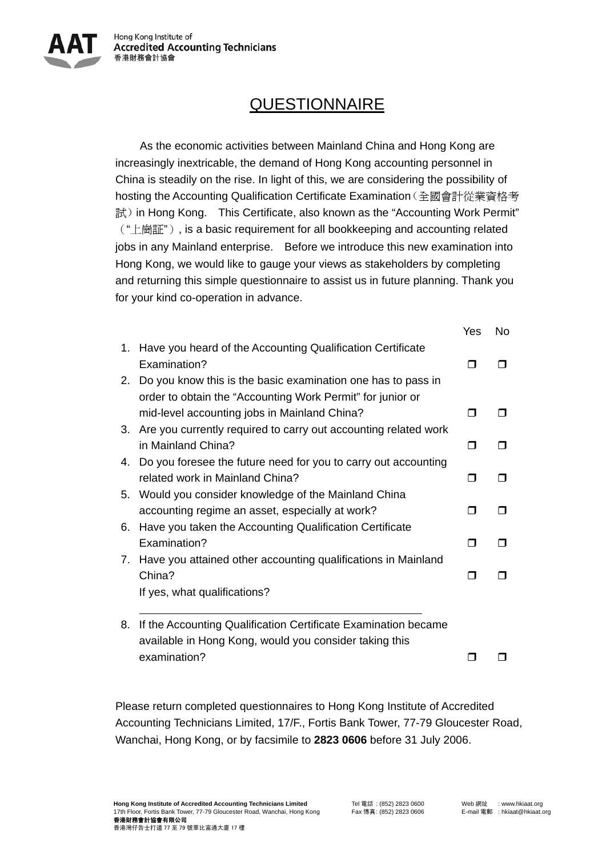

## **QUESTIONNAIRE**

As the economic activities between Mainland China and Hong Kong are increasingly inextricable, the demand of Hong Kong accounting personnel in China is steadily on the rise. In light of this, we are considering the possibility of hosting the Accounting Qualification Certificate Examination(全國會計從業資格考 試) in Hong Kong. This Certificate, also known as the "Accounting Work Permit" ("上崗証"), is a basic requirement for all bookkeeping and accounting related jobs in any Mainland enterprise. Before we introduce this new examination into Hong Kong, we would like to gauge your views as stakeholders by completing and returning this simple questionnaire to assist us in future planning. Thank you for your kind co-operation in advance.

|    |                                                                 | Yes | No. |
|----|-----------------------------------------------------------------|-----|-----|
| 1. | Have you heard of the Accounting Qualification Certificate      |     |     |
|    | Examination?                                                    | ⊓   |     |
| 2. | Do you know this is the basic examination one has to pass in    |     |     |
|    | order to obtain the "Accounting Work Permit" for junior or      |     |     |
|    | mid-level accounting jobs in Mainland China?                    | П   | ⊓   |
| 3. | Are you currently required to carry out accounting related work |     |     |
|    | in Mainland China?                                              | ⊓   |     |
| 4. | Do you foresee the future need for you to carry out accounting  |     |     |
|    | related work in Mainland China?                                 | ⊓   |     |
| 5. | Would you consider knowledge of the Mainland China              |     |     |
|    | accounting regime an asset, especially at work?                 | П   |     |
| 6. | Have you taken the Accounting Qualification Certificate         |     |     |
|    | Examination?                                                    | ⊓   | ┓   |
| 7. | Have you attained other accounting qualifications in Mainland   |     |     |
|    | China?                                                          | П   |     |
|    | If yes, what qualifications?                                    |     |     |
|    |                                                                 |     |     |
| 8. | If the Accounting Qualification Certificate Examination became  |     |     |
|    | available in Hong Kong, would you consider taking this          |     |     |
|    | examination?                                                    |     |     |

Please return completed questionnaires to Hong Kong Institute of Accredited Accounting Technicians Limited, 17/F., Fortis Bank Tower, 77-79 Gloucester Road, Wanchai, Hong Kong, or by facsimile to **2823 0606** before 31 July 2006.